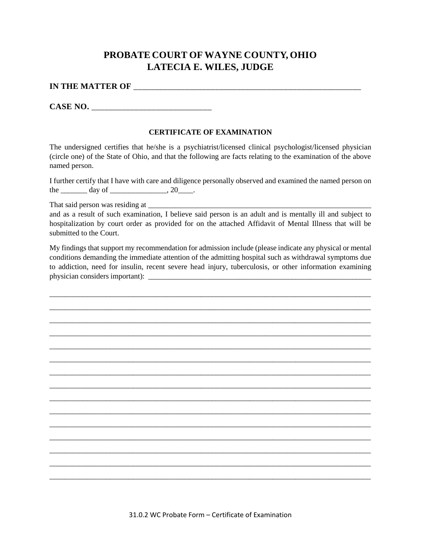## **PROBATE COURT OF WAYNE COUNTY, OHIO LATECIA E. WILES, JUDGE**

## **IN THE MATTER OF** \_\_\_\_\_\_\_\_\_\_\_\_\_\_\_\_\_\_\_\_\_\_\_\_\_\_\_\_\_\_\_\_\_\_\_\_\_\_\_\_\_\_\_\_\_\_\_\_\_\_\_\_\_

CASE NO.

## **CERTIFICATE OF EXAMINATION**

The undersigned certifies that he/she is a psychiatrist/licensed clinical psychologist/licensed physician (circle one) of the State of Ohio, and that the following are facts relating to the examination of the above named person.

I further certify that I have with care and diligence personally observed and examined the named person on the \_\_\_\_\_\_\_\_ day of \_\_\_\_\_\_\_\_\_\_\_\_\_\_, 20\_\_\_\_.

That said person was residing at \_\_\_\_\_\_\_\_\_\_\_\_\_\_\_\_\_\_\_\_\_\_\_\_\_\_\_\_\_\_\_\_\_\_\_\_\_\_\_\_\_\_\_\_\_\_\_\_\_\_\_\_\_\_\_\_\_\_\_

and as a result of such examination, I believe said person is an adult and is mentally ill and subject to hospitalization by court order as provided for on the attached Affidavit of Mental Illness that will be submitted to the Court.

My findings that support my recommendation for admission include (please indicate any physical or mental conditions demanding the immediate attention of the admitting hospital such as withdrawal symptoms due to addiction, need for insulin, recent severe head injury, tuberculosis, or other information examining physician considers important):

\_\_\_\_\_\_\_\_\_\_\_\_\_\_\_\_\_\_\_\_\_\_\_\_\_\_\_\_\_\_\_\_\_\_\_\_\_\_\_\_\_\_\_\_\_\_\_\_\_\_\_\_\_\_\_\_\_\_\_\_\_\_\_\_\_\_\_\_\_\_\_\_\_\_\_\_\_\_\_\_\_\_\_\_\_ \_\_\_\_\_\_\_\_\_\_\_\_\_\_\_\_\_\_\_\_\_\_\_\_\_\_\_\_\_\_\_\_\_\_\_\_\_\_\_\_\_\_\_\_\_\_\_\_\_\_\_\_\_\_\_\_\_\_\_\_\_\_\_\_\_\_\_\_\_\_\_\_\_\_\_\_\_\_\_\_\_\_\_\_\_ \_\_\_\_\_\_\_\_\_\_\_\_\_\_\_\_\_\_\_\_\_\_\_\_\_\_\_\_\_\_\_\_\_\_\_\_\_\_\_\_\_\_\_\_\_\_\_\_\_\_\_\_\_\_\_\_\_\_\_\_\_\_\_\_\_\_\_\_\_\_\_\_\_\_\_\_\_\_\_\_\_\_\_\_\_ \_\_\_\_\_\_\_\_\_\_\_\_\_\_\_\_\_\_\_\_\_\_\_\_\_\_\_\_\_\_\_\_\_\_\_\_\_\_\_\_\_\_\_\_\_\_\_\_\_\_\_\_\_\_\_\_\_\_\_\_\_\_\_\_\_\_\_\_\_\_\_\_\_\_\_\_\_\_\_\_\_\_\_\_\_ \_\_\_\_\_\_\_\_\_\_\_\_\_\_\_\_\_\_\_\_\_\_\_\_\_\_\_\_\_\_\_\_\_\_\_\_\_\_\_\_\_\_\_\_\_\_\_\_\_\_\_\_\_\_\_\_\_\_\_\_\_\_\_\_\_\_\_\_\_\_\_\_\_\_\_\_\_\_\_\_\_\_\_\_\_ \_\_\_\_\_\_\_\_\_\_\_\_\_\_\_\_\_\_\_\_\_\_\_\_\_\_\_\_\_\_\_\_\_\_\_\_\_\_\_\_\_\_\_\_\_\_\_\_\_\_\_\_\_\_\_\_\_\_\_\_\_\_\_\_\_\_\_\_\_\_\_\_\_\_\_\_\_\_\_\_\_\_\_\_\_ \_\_\_\_\_\_\_\_\_\_\_\_\_\_\_\_\_\_\_\_\_\_\_\_\_\_\_\_\_\_\_\_\_\_\_\_\_\_\_\_\_\_\_\_\_\_\_\_\_\_\_\_\_\_\_\_\_\_\_\_\_\_\_\_\_\_\_\_\_\_\_\_\_\_\_\_\_\_\_\_\_\_\_\_\_ \_\_\_\_\_\_\_\_\_\_\_\_\_\_\_\_\_\_\_\_\_\_\_\_\_\_\_\_\_\_\_\_\_\_\_\_\_\_\_\_\_\_\_\_\_\_\_\_\_\_\_\_\_\_\_\_\_\_\_\_\_\_\_\_\_\_\_\_\_\_\_\_\_\_\_\_\_\_\_\_\_\_\_\_\_ \_\_\_\_\_\_\_\_\_\_\_\_\_\_\_\_\_\_\_\_\_\_\_\_\_\_\_\_\_\_\_\_\_\_\_\_\_\_\_\_\_\_\_\_\_\_\_\_\_\_\_\_\_\_\_\_\_\_\_\_\_\_\_\_\_\_\_\_\_\_\_\_\_\_\_\_\_\_\_\_\_\_\_\_\_ \_\_\_\_\_\_\_\_\_\_\_\_\_\_\_\_\_\_\_\_\_\_\_\_\_\_\_\_\_\_\_\_\_\_\_\_\_\_\_\_\_\_\_\_\_\_\_\_\_\_\_\_\_\_\_\_\_\_\_\_\_\_\_\_\_\_\_\_\_\_\_\_\_\_\_\_\_\_\_\_\_\_\_\_\_ \_\_\_\_\_\_\_\_\_\_\_\_\_\_\_\_\_\_\_\_\_\_\_\_\_\_\_\_\_\_\_\_\_\_\_\_\_\_\_\_\_\_\_\_\_\_\_\_\_\_\_\_\_\_\_\_\_\_\_\_\_\_\_\_\_\_\_\_\_\_\_\_\_\_\_\_\_\_\_\_\_\_\_\_\_ \_\_\_\_\_\_\_\_\_\_\_\_\_\_\_\_\_\_\_\_\_\_\_\_\_\_\_\_\_\_\_\_\_\_\_\_\_\_\_\_\_\_\_\_\_\_\_\_\_\_\_\_\_\_\_\_\_\_\_\_\_\_\_\_\_\_\_\_\_\_\_\_\_\_\_\_\_\_\_\_\_\_\_\_\_ \_\_\_\_\_\_\_\_\_\_\_\_\_\_\_\_\_\_\_\_\_\_\_\_\_\_\_\_\_\_\_\_\_\_\_\_\_\_\_\_\_\_\_\_\_\_\_\_\_\_\_\_\_\_\_\_\_\_\_\_\_\_\_\_\_\_\_\_\_\_\_\_\_\_\_\_\_\_\_\_\_\_\_\_\_ \_\_\_\_\_\_\_\_\_\_\_\_\_\_\_\_\_\_\_\_\_\_\_\_\_\_\_\_\_\_\_\_\_\_\_\_\_\_\_\_\_\_\_\_\_\_\_\_\_\_\_\_\_\_\_\_\_\_\_\_\_\_\_\_\_\_\_\_\_\_\_\_\_\_\_\_\_\_\_\_\_\_\_\_\_ \_\_\_\_\_\_\_\_\_\_\_\_\_\_\_\_\_\_\_\_\_\_\_\_\_\_\_\_\_\_\_\_\_\_\_\_\_\_\_\_\_\_\_\_\_\_\_\_\_\_\_\_\_\_\_\_\_\_\_\_\_\_\_\_\_\_\_\_\_\_\_\_\_\_\_\_\_\_\_\_\_\_\_\_\_